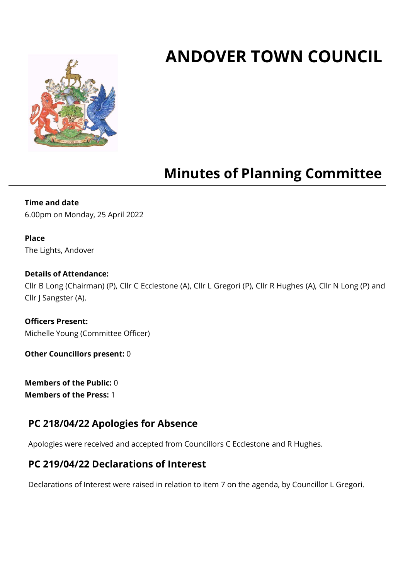# **ANDOVER TOWN COUNCIL**



## **Minutes of Planning Committee**

**Time and date** 6.00pm on Monday, 25 April 2022

#### **Place** The Lights, Andover

#### **Details of Attendance:**

Cllr B Long (Chairman) (P), Cllr C Ecclestone (A), Cllr L Gregori (P), Cllr R Hughes (A), Cllr N Long (P) and Cllr J Sangster (A).

**Officers Present:** Michelle Young (Committee Officer)

**Other Councillors present:** 0

**Members of the Public:** 0 **Members of the Press:** 1

## **PC 218/04/22 Apologies for Absence**

Apologies were received and accepted from Councillors C Ecclestone and R Hughes.

## **PC 219/04/22 Declarations of Interest**

Declarations of Interest were raised in relation to item 7 on the agenda, by Councillor L Gregori.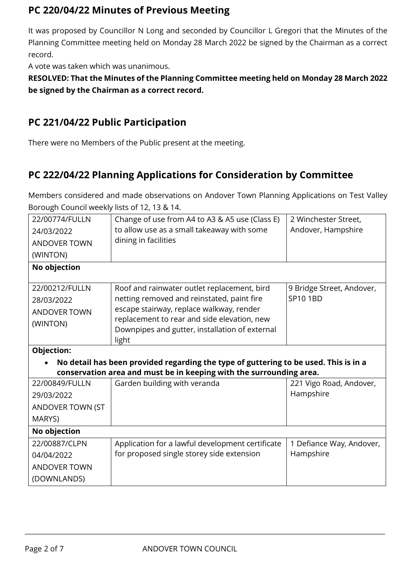## **PC 220/04/22 Minutes of Previous Meeting**

It was proposed by Councillor N Long and seconded by Councillor L Gregori that the Minutes of the Planning Committee meeting held on Monday 28 March 2022 be signed by the Chairman as a correct record.

A vote was taken which was unanimous.

**RESOLVED: That the Minutes of the Planning Committee meeting held on Monday 28 March 2022 be signed by the Chairman as a correct record.**

## **PC 221/04/22 Public Participation**

There were no Members of the Public present at the meeting.

## **PC 222/04/22 Planning Applications for Consideration by Committee**

Members considered and made observations on Andover Town Planning Applications on Test Valley Borough Council weekly lists of 12, 13 & 14.

| 22/00774/FULLN      | Change of use from A4 to A3 & A5 use (Class E)                                                | 2 Winchester Street,      |  |  |
|---------------------|-----------------------------------------------------------------------------------------------|---------------------------|--|--|
| 24/03/2022          | to allow use as a small takeaway with some                                                    | Andover, Hampshire        |  |  |
| <b>ANDOVER TOWN</b> | dining in facilities                                                                          |                           |  |  |
| (WINTON)            |                                                                                               |                           |  |  |
| No objection        |                                                                                               |                           |  |  |
|                     |                                                                                               |                           |  |  |
| 22/00212/FULLN      | Roof and rainwater outlet replacement, bird                                                   | 9 Bridge Street, Andover, |  |  |
| 28/03/2022          | netting removed and reinstated, paint fire                                                    | SP10 1BD                  |  |  |
| <b>ANDOVER TOWN</b> | escape stairway, replace walkway, render                                                      |                           |  |  |
| (WINTON)            | replacement to rear and side elevation, new<br>Downpipes and gutter, installation of external |                           |  |  |
|                     | light                                                                                         |                           |  |  |
| Objection:          |                                                                                               |                           |  |  |
|                     | No detail has been provided regarding the type of guttering to be used. This is in a          |                           |  |  |
|                     | conservation area and must be in keeping with the surrounding area.                           |                           |  |  |
| 22/00849/FULLN      | Garden building with veranda                                                                  | 221 Vigo Road, Andover,   |  |  |
| 29/03/2022          |                                                                                               | Hampshire                 |  |  |
| ANDOVER TOWN (ST    |                                                                                               |                           |  |  |
| MARYS)              |                                                                                               |                           |  |  |
| No objection        |                                                                                               |                           |  |  |
| 22/00887/CLPN       | Application for a lawful development certificate                                              | 1 Defiance Way, Andover,  |  |  |
| 04/04/2022          | for proposed single storey side extension                                                     | Hampshire                 |  |  |
| <b>ANDOVER TOWN</b> |                                                                                               |                           |  |  |
| (DOWNLANDS)         |                                                                                               |                           |  |  |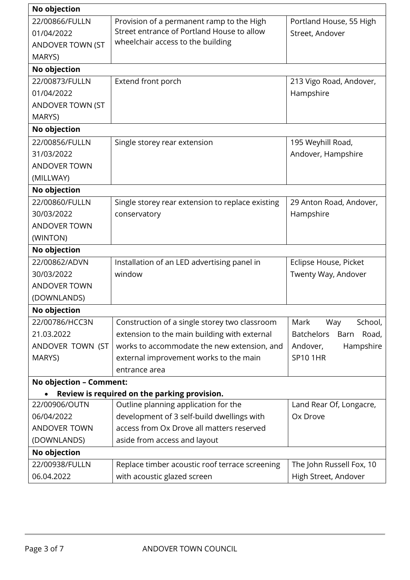| No objection            |                                                  |                                    |
|-------------------------|--------------------------------------------------|------------------------------------|
| 22/00866/FULLN          | Provision of a permanent ramp to the High        | Portland House, 55 High            |
| 01/04/2022              | Street entrance of Portland House to allow       | Street, Andover                    |
| ANDOVER TOWN (ST        | wheelchair access to the building                |                                    |
| MARYS)                  |                                                  |                                    |
| No objection            |                                                  |                                    |
| 22/00873/FULLN          | Extend front porch                               | 213 Vigo Road, Andover,            |
| 01/04/2022              |                                                  | Hampshire                          |
| ANDOVER TOWN (ST        |                                                  |                                    |
| MARYS)                  |                                                  |                                    |
| No objection            |                                                  |                                    |
| 22/00856/FULLN          | Single storey rear extension                     | 195 Weyhill Road,                  |
| 31/03/2022              |                                                  | Andover, Hampshire                 |
| <b>ANDOVER TOWN</b>     |                                                  |                                    |
| (MILLWAY)               |                                                  |                                    |
| No objection            |                                                  |                                    |
| 22/00860/FULLN          | Single storey rear extension to replace existing | 29 Anton Road, Andover,            |
| 30/03/2022              | conservatory                                     | Hampshire                          |
| <b>ANDOVER TOWN</b>     |                                                  |                                    |
| (WINTON)                |                                                  |                                    |
| No objection            |                                                  |                                    |
| 22/00862/ADVN           | Installation of an LED advertising panel in      | Eclipse House, Picket              |
| 30/03/2022              | window                                           | Twenty Way, Andover                |
| <b>ANDOVER TOWN</b>     |                                                  |                                    |
| (DOWNLANDS)             |                                                  |                                    |
| No objection            |                                                  |                                    |
| 22/00786/HCC3N          | Construction of a single storey two classroom    | Mark<br>Way<br>School,             |
| 21.03.2022              | extension to the main building with external     | <b>Batchelors</b><br>Barn<br>Road, |
| ANDOVER TOWN (ST        | works to accommodate the new extension, and      | Andover,<br>Hampshire              |
| MARYS)                  | external improvement works to the main           | <b>SP101HR</b>                     |
|                         | entrance area                                    |                                    |
| No objection - Comment: |                                                  |                                    |
|                         | Review is required on the parking provision.     |                                    |
| 22/00906/OUTN           | Outline planning application for the             | Land Rear Of, Longacre,            |
| 06/04/2022              | development of 3 self-build dwellings with       | Ox Drove                           |
| <b>ANDOVER TOWN</b>     | access from Ox Drove all matters reserved        |                                    |
| (DOWNLANDS)             | aside from access and layout                     |                                    |
| No objection            |                                                  |                                    |
| 22/00938/FULLN          | Replace timber acoustic roof terrace screening   | The John Russell Fox, 10           |
| 06.04.2022              | with acoustic glazed screen                      | High Street, Andover               |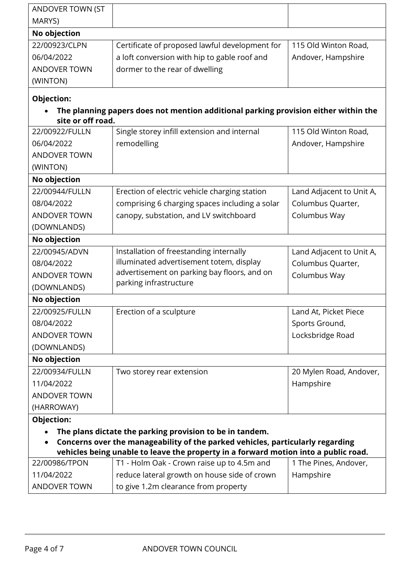| ANDOVER TOWN (ST                                                                                                                                                      |                                                                                     |                          |  |  |  |
|-----------------------------------------------------------------------------------------------------------------------------------------------------------------------|-------------------------------------------------------------------------------------|--------------------------|--|--|--|
| MARYS)                                                                                                                                                                |                                                                                     |                          |  |  |  |
| No objection                                                                                                                                                          |                                                                                     |                          |  |  |  |
| 22/00923/CLPN                                                                                                                                                         | Certificate of proposed lawful development for                                      | 115 Old Winton Road,     |  |  |  |
| 06/04/2022                                                                                                                                                            | a loft conversion with hip to gable roof and                                        | Andover, Hampshire       |  |  |  |
| <b>ANDOVER TOWN</b>                                                                                                                                                   | dormer to the rear of dwelling                                                      |                          |  |  |  |
| (WINTON)                                                                                                                                                              |                                                                                     |                          |  |  |  |
| Objection:                                                                                                                                                            |                                                                                     |                          |  |  |  |
|                                                                                                                                                                       | The planning papers does not mention additional parking provision either within the |                          |  |  |  |
| site or off road.                                                                                                                                                     |                                                                                     |                          |  |  |  |
| 22/00922/FULLN                                                                                                                                                        | Single storey infill extension and internal                                         | 115 Old Winton Road,     |  |  |  |
| 06/04/2022                                                                                                                                                            | remodelling                                                                         | Andover, Hampshire       |  |  |  |
| <b>ANDOVER TOWN</b>                                                                                                                                                   |                                                                                     |                          |  |  |  |
| (WINTON)                                                                                                                                                              |                                                                                     |                          |  |  |  |
| No objection                                                                                                                                                          |                                                                                     |                          |  |  |  |
| 22/00944/FULLN                                                                                                                                                        | Erection of electric vehicle charging station                                       | Land Adjacent to Unit A, |  |  |  |
| 08/04/2022                                                                                                                                                            | comprising 6 charging spaces including a solar                                      | Columbus Quarter,        |  |  |  |
| <b>ANDOVER TOWN</b>                                                                                                                                                   | canopy, substation, and LV switchboard                                              | Columbus Way             |  |  |  |
| (DOWNLANDS)                                                                                                                                                           |                                                                                     |                          |  |  |  |
| No objection                                                                                                                                                          |                                                                                     |                          |  |  |  |
| 22/00945/ADVN                                                                                                                                                         | Installation of freestanding internally                                             | Land Adjacent to Unit A, |  |  |  |
| 08/04/2022                                                                                                                                                            | illuminated advertisement totem, display                                            | Columbus Quarter,        |  |  |  |
| <b>ANDOVER TOWN</b>                                                                                                                                                   | advertisement on parking bay floors, and on<br>parking infrastructure               | Columbus Way             |  |  |  |
| (DOWNLANDS)                                                                                                                                                           |                                                                                     |                          |  |  |  |
| No objection                                                                                                                                                          |                                                                                     |                          |  |  |  |
| 22/00925/FULLN                                                                                                                                                        | Erection of a sculpture                                                             | Land At, Picket Piece    |  |  |  |
| 08/04/2022                                                                                                                                                            |                                                                                     | Sports Ground,           |  |  |  |
| <b>ANDOVER TOWN</b>                                                                                                                                                   |                                                                                     | Locksbridge Road         |  |  |  |
| (DOWNLANDS)                                                                                                                                                           |                                                                                     |                          |  |  |  |
| No objection                                                                                                                                                          |                                                                                     |                          |  |  |  |
| 22/00934/FULLN                                                                                                                                                        | Two storey rear extension                                                           | 20 Mylen Road, Andover,  |  |  |  |
| 11/04/2022                                                                                                                                                            |                                                                                     | Hampshire                |  |  |  |
| <b>ANDOVER TOWN</b>                                                                                                                                                   |                                                                                     |                          |  |  |  |
| (HARROWAY)                                                                                                                                                            |                                                                                     |                          |  |  |  |
| Objection:                                                                                                                                                            |                                                                                     |                          |  |  |  |
| The plans dictate the parking provision to be in tandem.                                                                                                              |                                                                                     |                          |  |  |  |
| Concerns over the manageability of the parked vehicles, particularly regarding<br>vehicles being unable to leave the property in a forward motion into a public road. |                                                                                     |                          |  |  |  |
|                                                                                                                                                                       |                                                                                     |                          |  |  |  |
| 22/00986/TPON                                                                                                                                                         | T1 - Holm Oak - Crown raise up to 4.5m and                                          | 1 The Pines, Andover,    |  |  |  |
| 11/04/2022                                                                                                                                                            | reduce lateral growth on house side of crown                                        | Hampshire                |  |  |  |
| <b>ANDOVER TOWN</b>                                                                                                                                                   | to give 1.2m clearance from property                                                |                          |  |  |  |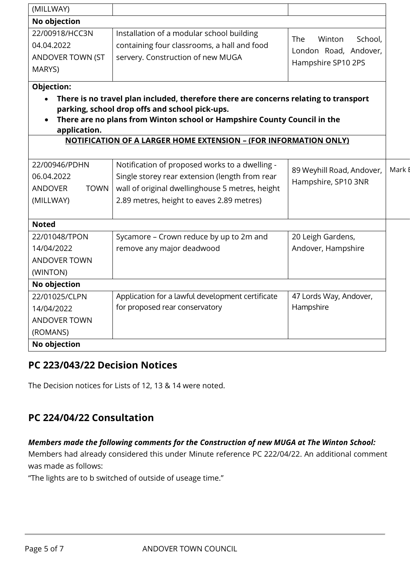| (MILLWAY)                                                                                                                                                                                                                                               |                                                                                                                                                                                                  |                                                                         |               |  |  |
|---------------------------------------------------------------------------------------------------------------------------------------------------------------------------------------------------------------------------------------------------------|--------------------------------------------------------------------------------------------------------------------------------------------------------------------------------------------------|-------------------------------------------------------------------------|---------------|--|--|
| No objection                                                                                                                                                                                                                                            |                                                                                                                                                                                                  |                                                                         |               |  |  |
| 22/00918/HCC3N<br>04.04.2022<br>ANDOVER TOWN (ST<br>MARYS)                                                                                                                                                                                              | Installation of a modular school building<br>containing four classrooms, a hall and food<br>servery. Construction of new MUGA                                                                    | The<br>Winton<br>School,<br>London Road, Andover,<br>Hampshire SP10 2PS |               |  |  |
| <b>Objection:</b><br>There is no travel plan included, therefore there are concerns relating to transport<br>parking, school drop offs and school pick-ups.<br>There are no plans from Winton school or Hampshire County Council in the<br>application. |                                                                                                                                                                                                  |                                                                         |               |  |  |
|                                                                                                                                                                                                                                                         | <b>NOTIFICATION OF A LARGER HOME EXTENSION - (FOR INFORMATION ONLY)</b>                                                                                                                          |                                                                         |               |  |  |
| 22/00946/PDHN<br>06.04.2022<br><b>TOWN</b><br><b>ANDOVER</b><br>(MILLWAY)                                                                                                                                                                               | Notification of proposed works to a dwelling -<br>Single storey rear extension (length from rear<br>wall of original dwellinghouse 5 metres, height<br>2.89 metres, height to eaves 2.89 metres) | 89 Weyhill Road, Andover,<br>Hampshire, SP10 3NR                        | Mark <b>F</b> |  |  |
| <b>Noted</b>                                                                                                                                                                                                                                            |                                                                                                                                                                                                  |                                                                         |               |  |  |
| 22/01048/TPON<br>14/04/2022<br><b>ANDOVER TOWN</b><br>(WINTON)                                                                                                                                                                                          | Sycamore - Crown reduce by up to 2m and<br>remove any major deadwood                                                                                                                             | 20 Leigh Gardens,<br>Andover, Hampshire                                 |               |  |  |
| No objection                                                                                                                                                                                                                                            |                                                                                                                                                                                                  |                                                                         |               |  |  |
| 22/01025/CLPN<br>14/04/2022<br><b>ANDOVER TOWN</b><br>(ROMANS)                                                                                                                                                                                          | Application for a lawful development certificate<br>for proposed rear conservatory                                                                                                               | 47 Lords Way, Andover,<br>Hampshire                                     |               |  |  |
| No objection                                                                                                                                                                                                                                            |                                                                                                                                                                                                  |                                                                         |               |  |  |

## **PC 223/043/22 Decision Notices**

The Decision notices for Lists of 12, 13 & 14 were noted.

## **PC 224/04/22 Consultation**

#### *Members made the following comments for the Construction of new MUGA at The Winton School:*

Members had already considered this under Minute reference PC 222/04/22. An additional comment was made as follows:

"The lights are to b switched of outside of useage time."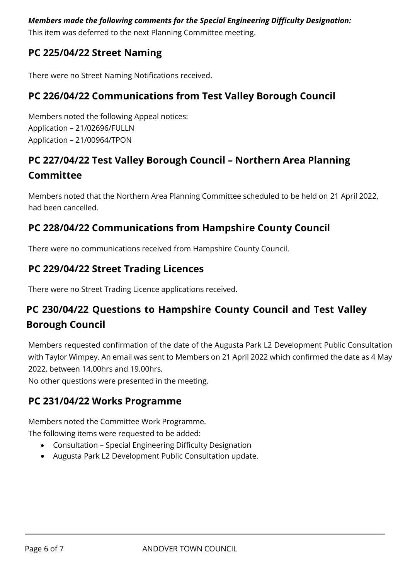#### *Members made the following comments for the Special Engineering Difficulty Designation:*

This item was deferred to the next Planning Committee meeting.

## **PC 225/04/22 Street Naming**

There were no Street Naming Notifications received.

## **PC 226/04/22 Communications from Test Valley Borough Council**

Members noted the following Appeal notices: Application – 21/02696/FULLN Application – 21/00964/TPON

## **PC 227/04/22 Test Valley Borough Council – Northern Area Planning Committee**

Members noted that the Northern Area Planning Committee scheduled to be held on 21 April 2022, had been cancelled.

## **PC 228/04/22 Communications from Hampshire County Council**

There were no communications received from Hampshire County Council.

## **PC 229/04/22 Street Trading Licences**

There were no Street Trading Licence applications received.

## **PC 230/04/22 Questions to Hampshire County Council and Test Valley Borough Council**

Members requested confirmation of the date of the Augusta Park L2 Development Public Consultation with Taylor Wimpey. An email was sent to Members on 21 April 2022 which confirmed the date as 4 May 2022, between 14.00hrs and 19.00hrs.

No other questions were presented in the meeting.

## **PC 231/04/22 Works Programme**

Members noted the Committee Work Programme.

The following items were requested to be added:

- Consultation Special Engineering Difficulty Designation
- Augusta Park L2 Development Public Consultation update.